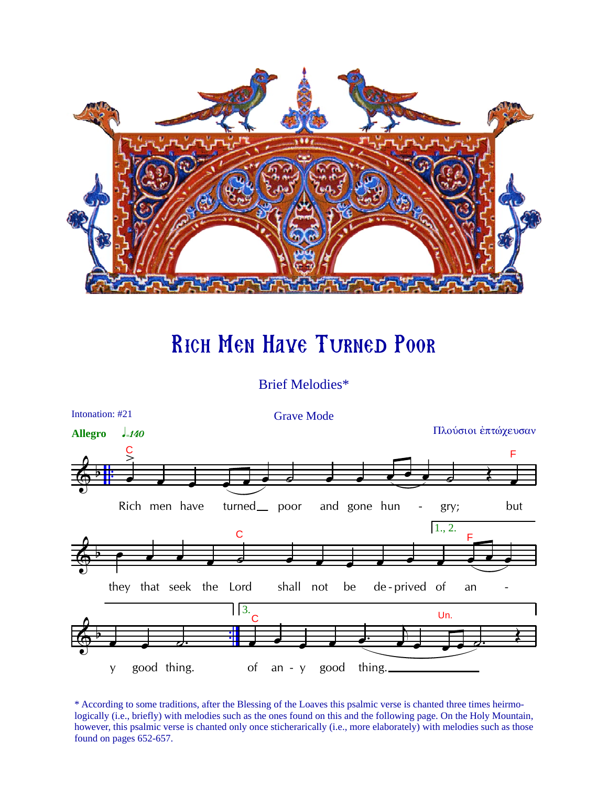

## **RICH MEN HAVE TURNED POOR**

## **Brief Melodies\***



\* According to some traditions, after the Blessing of the Loaves this psalmic verse is chanted three times heirmologically (i.e., briefly) with melodies such as the ones found on this and the following page. On the Holy Mountain, however, this psalmic verse is chanted only once sticherarically (i.e., more elaborately) with melodies such as those found on pages 652-657.